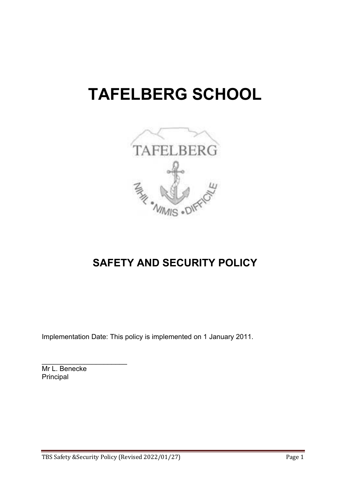# **TAFELBERG SCHOOL**



# **SAFETY AND SECURITY POLICY**

Implementation Date: This policy is implemented on 1 January 2011.

Mr L. Benecke Principal

\_\_\_\_\_\_\_\_\_\_\_\_\_\_\_\_\_\_\_\_\_\_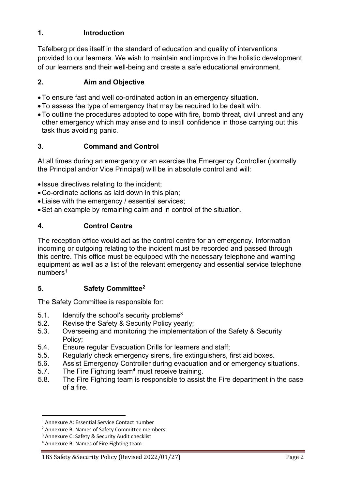## **1. Introduction**

Tafelberg prides itself in the standard of education and quality of interventions provided to our learners. We wish to maintain and improve in the holistic development of our learners and their well-being and create a safe educational environment.

#### **2. Aim and Objective**

- To ensure fast and well co-ordinated action in an emergency situation.
- To assess the type of emergency that may be required to be dealt with.
- To outline the procedures adopted to cope with fire, bomb threat, civil unrest and any other emergency which may arise and to instill confidence in those carrying out this task thus avoiding panic.

## **3. Command and Control**

At all times during an emergency or an exercise the Emergency Controller (normally the Principal and/or Vice Principal) will be in absolute control and will:

- Issue directives relating to the incident;
- Co-ordinate actions as laid down in this plan;
- Liaise with the emergency / essential services;
- Set an example by remaining calm and in control of the situation.

## **4. Control Centre**

The reception office would act as the control centre for an emergency. Information incoming or outgoing relating to the incident must be recorded and passed through this centre. This office must be equipped with the necessary telephone and warning equipment as well as a list of the relevant emergency and essential service telephone numbers1

#### **5. Safety Committee2**

The Safety Committee is responsible for:

- 5.1. Identify the school's security problems $3$
- 5.2. Revise the Safety & Security Policy yearly;
- 5.3. Overseeing and monitoring the implementation of the Safety & Security Policy;
- 5.4. Ensure regular Evacuation Drills for learners and staff;
- 5.5. Regularly check emergency sirens, fire extinguishers, first aid boxes.
- 5.6. Assist Emergency Controller during evacuation and or emergency situations.
- 5.7. The Fire Fighting team<sup>4</sup> must receive training.
- 5.8. The Fire Fighting team is responsible to assist the Fire department in the case of a fire.

# TBS Safety & Security Policy (Revised 2022/01/27) Page 2

<sup>1</sup> Annexure A: Essential Service Contact number

<sup>2</sup> Annexure B: Names of Safety Committee members

<sup>&</sup>lt;sup>3</sup> Annexure C: Safety & Security Audit checklist

<sup>4</sup> Annexure B: Names of Fire Fighting team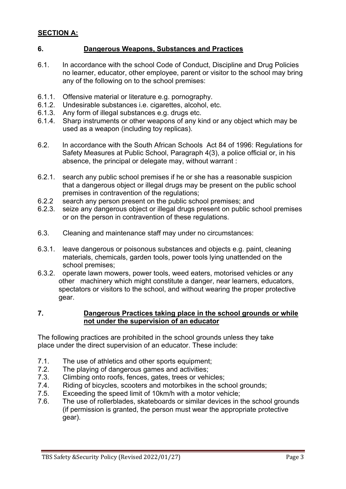# **SECTION A:**

#### **6. Dangerous Weapons, Substances and Practices**

- 6.1. In accordance with the school Code of Conduct, Discipline and Drug Policies no learner, educator, other employee, parent or visitor to the school may bring any of the following on to the school premises:
- 6.1.1. Offensive material or literature e.g. pornography.<br>6.1.2 Undesirable substances i.e. cigarettes, alcohol, e
- 6.1.2. Undesirable substances i.e. cigarettes, alcohol, etc.<br>6.1.3. Anv form of illegal substances e.g. drugs etc.
- Any form of illegal substances e.g. drugs etc.
- 6.1.4. Sharp instruments or other weapons of any kind or any object which may be used as a weapon (including toy replicas).
- 6.2. In accordance with the South African Schools Act 84 of 1996: Regulations for Safety Measures at Public School, Paragraph 4(3), a police official or, in his absence, the principal or delegate may, without warrant :
- 6.2.1. search any public school premises if he or she has a reasonable suspicion that a dangerous object or illegal drugs may be present on the public school premises in contravention of the regulations;
- 6.2.2 search any person present on the public school premises; and
- 6.2.3. seize any dangerous object or illegal drugs present on public school premises or on the person in contravention of these regulations.
- 6.3. Cleaning and maintenance staff may under no circumstances:
- 6.3.1. leave dangerous or poisonous substances and objects e.g. paint, cleaning materials, chemicals, garden tools, power tools lying unattended on the school premises;
- 6.3.2. operate lawn mowers, power tools, weed eaters, motorised vehicles or any other machinery which might constitute a danger, near learners, educators, spectators or visitors to the school, and without wearing the proper protective gear.

#### **7. Dangerous Practices taking place in the school grounds or while not under the supervision of an educator**

The following practices are prohibited in the school grounds unless they take place under the direct supervision of an educator. These include:

- 7.1. The use of athletics and other sports equipment;
- 7.2. The playing of dangerous games and activities;
- 7.3. Climbing onto roofs, fences, gates, trees or vehicles;
- 7.4. Riding of bicycles, scooters and motorbikes in the school grounds;
- 7.5. Exceeding the speed limit of 10km/h with a motor vehicle;
- 7.6. The use of rollerblades, skateboards or similar devices in the school grounds (if permission is granted, the person must wear the appropriate protective gear).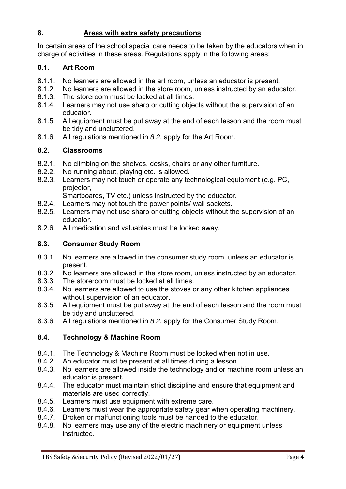## **8. Areas with extra safety precautions**

In certain areas of the school special care needs to be taken by the educators when in charge of activities in these areas. Regulations apply in the following areas:

#### **8.1. Art Room**

- 8.1.1. No learners are allowed in the art room, unless an educator is present.
- 8.1.2. No learners are allowed in the store room, unless instructed by an educator.
- 8.1.3. The storeroom must be locked at all times.
- 8.1.4. Learners may not use sharp or cutting objects without the supervision of an educator.
- 8.1.5. All equipment must be put away at the end of each lesson and the room must be tidy and uncluttered.
- 8.1.6. All regulations mentioned in *8.2*. apply for the Art Room.

#### **8.2. Classrooms**

- 8.2.1. No climbing on the shelves, desks, chairs or any other furniture.
- 8.2.2. No running about, playing etc. is allowed.
- 8.2.3. Learners may not touch or operate any technological equipment (e.g. PC, projector,

Smartboards, TV etc.) unless instructed by the educator.

- 8.2.4. Learners may not touch the power points/ wall sockets.
- 8.2.5. Learners may not use sharp or cutting objects without the supervision of an educator.
- 8.2.6. All medication and valuables must be locked away.

#### **8.3. Consumer Study Room**

- 8.3.1. No learners are allowed in the consumer study room, unless an educator is present.
- 8.3.2. No learners are allowed in the store room, unless instructed by an educator.
- 8.3.3. The storeroom must be locked at all times.
- 8.3.4. No learners are allowed to use the stoves or any other kitchen appliances without supervision of an educator.
- 8.3.5. All equipment must be put away at the end of each lesson and the room must be tidy and uncluttered.
- 8.3.6. All regulations mentioned in *8.2.* apply for the Consumer Study Room.

#### **8.4. Technology & Machine Room**

- 8.4.1. The Technology & Machine Room must be locked when not in use.
- 8.4.2. An educator must be present at all times during a lesson.
- 8.4.3. No learners are allowed inside the technology and or machine room unless an educator is present.
- 8.4.4. The educator must maintain strict discipline and ensure that equipment and materials are used correctly.
- 8.4.5. Learners must use equipment with extreme care.
- 8.4.6. Learners must wear the appropriate safety gear when operating machinery.
- 8.4.7. Broken or malfunctioning tools must be handed to the educator.
- 8.4.8. No learners may use any of the electric machinery or equipment unless instructed.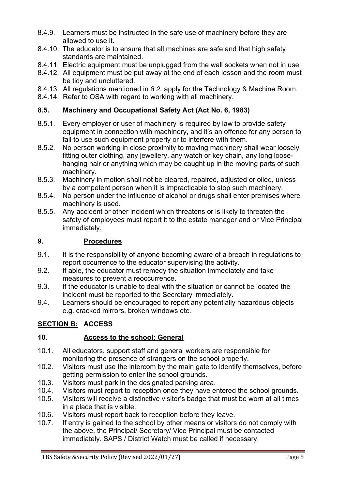- 8.4.9. Learners must be instructed in the safe use of machinery before they are allowed to use it.
- 8.4.10. The educator is to ensure that all machines are safe and that high safety standards are maintained.
- 8.4.11. Electric equipment must be unplugged from the wall sockets when not in use.
- 8.4.12. All equipment must be put away at the end of each lesson and the room must be tidy and uncluttered.
- 8.4.13. All regulations mentioned in *8.2.* apply for the Technology & Machine Room.
- 8.4.14. Refer to OSA with regard to working with all machinery.

## **8.5. Machinery and Occupational Safety Act (Act No. 6, 1983)**

- 8.5.1. Every employer or user of machinery is required by law to provide safety equipment in connection with machinery, and it's an offence for any person to fail to use such equipment properly or to interfere with them.
- 8.5.2. No person working in close proximity to moving machinery shall wear loosely fitting outer clothing, any jewellery, any watch or key chain, any long loosehanging hair or anything which may be caught up in the moving parts of such machinery.
- 8.5.3. Machinery in motion shall not be cleared, repaired, adjusted or oiled, unless by a competent person when it is impracticable to stop such machinery.
- 8.5.4. No person under the influence of alcohol or drugs shall enter premises where machinery is used.
- 8.5.5. Any accident or other incident which threatens or is likely to threaten the safety of employees must report it to the estate manager and or Vice Principal immediately.

## **9. Procedures**

- 9.1. It is the responsibility of anyone becoming aware of a breach in regulations to report occurrence to the educator supervising the activity.
- 9.2. If able, the educator must remedy the situation immediately and take measures to prevent a reoccurrence.
- 9.3. If the educator is unable to deal with the situation or cannot be located the incident must be reported to the Secretary immediately.
- 9.4. Learners should be encouraged to report any potentially hazardous objects e.g. cracked mirrors, broken windows etc.

# **SECTION B: ACCESS**

#### **10. Access to the school: General**

- 10.1. All educators, support staff and general workers are responsible for monitoring the presence of strangers on the school property.
- 10.2. Visitors must use the intercom by the main gate to identify themselves, before getting permission to enter the school grounds.
- 10.3. Visitors must park in the designated parking area.
- 10.4. Visitors must report to reception once they have entered the school grounds.
- 10.5. Visitors will receive a distinctive visitor's badge that must be worn at all times in a place that is visible.
- 10.6. Visitors must report back to reception before they leave.
- 10.7. If entry is gained to the school by other means or visitors do not comply with the above, the Principal/ Secretary/ Vice Principal must be contacted immediately. SAPS / District Watch must be called if necessary.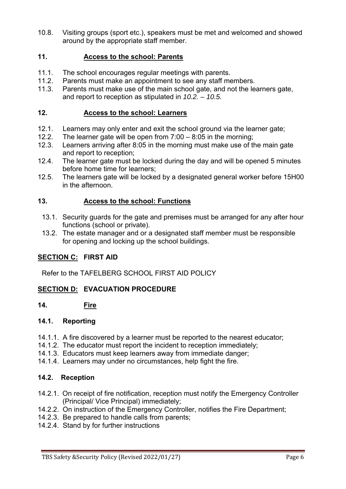10.8. Visiting groups (sport etc.), speakers must be met and welcomed and showed around by the appropriate staff member.

#### **11. Access to the school: Parents**

- 11.1. The school encourages regular meetings with parents.
- 11.2. Parents must make an appointment to see any staff members.
- 11.3. Parents must make use of the main school gate, and not the learners gate, and report to reception as stipulated in *10.2. – 10.5.*

#### **12. Access to the school: Learners**

- 12.1. Learners may only enter and exit the school ground via the learner gate;
- 12.2. The learner gate will be open from 7:00 8:05 in the morning;
- 12.3. Learners arriving after 8:05 in the morning must make use of the main gate and report to reception;
- 12.4. The learner gate must be locked during the day and will be opened 5 minutes before home time for learners;
- 12.5. The learners gate will be locked by a designated general worker before 15H00 in the afternoon.

#### **13. Access to the school: Functions**

- 13.1. Security guards for the gate and premises must be arranged for any after hour functions (school or private).
- 13.2. The estate manager and or a designated staff member must be responsible for opening and locking up the school buildings.

#### **SECTION C: FIRST AID**

Refer to the TAFELBERG SCHOOL FIRST AID POLICY

#### **SECTION D: EVACUATION PROCEDURE**

**14. Fire** 

#### **14.1. Reporting**

- 14.1.1. A fire discovered by a learner must be reported to the nearest educator;
- 14.1.2. The educator must report the incident to reception immediately;
- 14.1.3. Educators must keep learners away from immediate danger;
- 14.1.4. Learners may under no circumstances, help fight the fire.

#### **14.2. Reception**

- 14.2.1. On receipt of fire notification, reception must notify the Emergency Controller (Principal/ Vice Principal) immediately;
- 14.2.2. On instruction of the Emergency Controller, notifies the Fire Department;
- 14.2.3. Be prepared to handle calls from parents;
- 14.2.4. Stand by for further instructions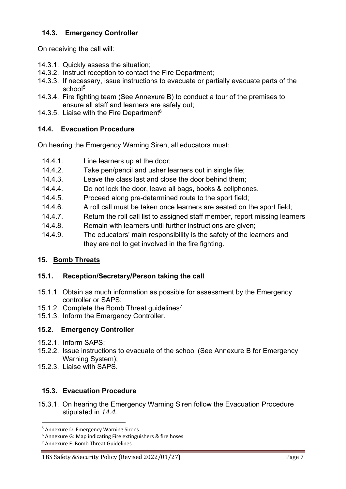## **14.3. Emergency Controller**

On receiving the call will:

- 14.3.1. Quickly assess the situation;
- 14.3.2. Instruct reception to contact the Fire Department;
- 14.3.3. If necessary, issue instructions to evacuate or partially evacuate parts of the school<sup>5</sup>
- 14.3.4. Fire fighting team (See Annexure B) to conduct a tour of the premises to ensure all staff and learners are safely out;
- 14.3.5. Liaise with the Fire Department $6$

#### **14.4. Evacuation Procedure**

On hearing the Emergency Warning Siren, all educators must:

- 14.4.1. Line learners up at the door;
- 14.4.2. Take pen/pencil and usher learners out in single file;
- 14.4.3. Leave the class last and close the door behind them;
- 14.4.4. Do not lock the door, leave all bags, books & cellphones.
- 14.4.5. Proceed along pre-determined route to the sport field;
- 14.4.6. A roll call must be taken once learners are seated on the sport field;
- 14.4.7. Return the roll call list to assigned staff member, report missing learners
- 14.4.8. Remain with learners until further instructions are given;
- 14.4.9. The educators' main responsibility is the safety of the learners and they are not to get involved in the fire fighting.

#### **15. Bomb Threats**

#### **15.1. Reception/Secretary/Person taking the call**

- 15.1.1. Obtain as much information as possible for assessment by the Emergency controller or SAPS;
- 15.1.2. Complete the Bomb Threat quidelines<sup>7</sup>
- 15.1.3. Inform the Emergency Controller.

#### **15.2. Emergency Controller**

- 15.2.1. Inform SAPS;
- 15.2.2. Issue instructions to evacuate of the school (See Annexure B for Emergency Warning System);
- 15.2.3. Liaise with SAPS.

#### **15.3. Evacuation Procedure**

15.3.1. On hearing the Emergency Warning Siren follow the Evacuation Procedure stipulated in *14.4.* 

<sup>5</sup> Annexure D: Emergency Warning Sirens

<sup>6</sup> Annexure G: Map indicating Fire extinguishers & fire hoses

<sup>7</sup> Annexure F: Bomb Threat Guidelines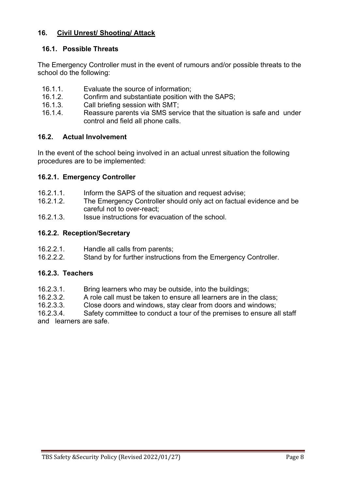#### **16. Civil Unrest/ Shooting/ Attack**

#### **16.1. Possible Threats**

The Emergency Controller must in the event of rumours and/or possible threats to the school do the following:

- 16.1.1. Evaluate the source of information;
- 16.1.2. Confirm and substantiate position with the SAPS;
- 16.1.3. Call briefing session with SMT;
- 16.1.4. Reassure parents via SMS service that the situation is safe and under control and field all phone calls.

## **16.2. Actual Involvement**

In the event of the school being involved in an actual unrest situation the following procedures are to be implemented:

## **16.2.1. Emergency Controller**

- 16.2.1.1. Inform the SAPS of the situation and request advise;
- 16.2.1.2. The Emergency Controller should only act on factual evidence and be careful not to over-react;
- 16.2.1.3. Issue instructions for evacuation of the school.

## **16.2.2. Reception/Secretary**

- 16.2.2.1. Handle all calls from parents;
- 16.2.2.2. Stand by for further instructions from the Emergency Controller.

#### **16.2.3. Teachers**

- 16.2.3.1. Bring learners who may be outside, into the buildings;
- 16.2.3.2. A role call must be taken to ensure all learners are in the class;
- 16.2.3.3. Close doors and windows, stay clear from doors and windows;

16.2.3.4. Safety committee to conduct a tour of the premises to ensure all staff and learners are safe.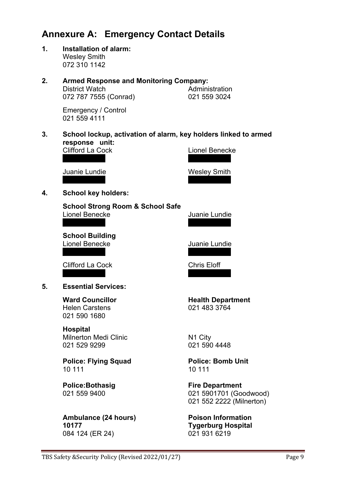# **Annexure A: Emergency Contact Details**

**1. Installation of alarm:**  Wesley Smith 072 310 1142

# **2. Armed Response and Monitoring Company:**  District Watch **Administration** 072 787 7555 (Conrad) 021 559 3024

 Emergency / Control 021 559 4111

**3. School lockup, activation of alarm, key holders linked to armed response unit:** 

|    | <b>Ambulance (24 hours)</b>                                          | <b>Poison Inforn</b>                                  |
|----|----------------------------------------------------------------------|-------------------------------------------------------|
|    | <b>Police:Bothasig</b><br>021 559 9400                               | <b>Fire Departmo</b><br>021 5901701 (<br>021 552 2222 |
|    | <b>Police: Flying Squad</b><br>10 111                                | <b>Police: Bomb</b><br>10 111                         |
|    | <b>Hospital</b><br><b>Milnerton Medi Clinic</b><br>021 529 9299      | N1 City<br>021 590 4448                               |
|    | <b>Ward Councillor</b><br><b>Helen Carstens</b><br>021 590 1680      | <b>Health Depart</b><br>021 483 3764                  |
| 5. | <b>Essential Services:</b>                                           |                                                       |
|    | <b>Clifford La Cock</b>                                              | <b>Chris Eloff</b>                                    |
|    | <b>School Building</b><br><b>Lionel Benecke</b>                      | Juanie Lundie                                         |
|    | <b>School Strong Room &amp; School Safe</b><br><b>Lionel Benecke</b> | Juanie Lundie                                         |
| 4. | <b>School key holders:</b>                                           |                                                       |
|    | Juanie Lundie                                                        | <b>Wesley Smith</b>                                   |
|    | UIIIUIU La UUUN                                                      | LIUHEI DEHEUN                                         |

084 124 (ER 24)

Lionel Benecke

**th Department** 483 3764

**Police: Flying Squad Police: Bomb Unit** 

**Department** 590 1701 (Goodwood) 552 2222 (Milnerton)

**Ambulan Condition 10177 10177 Tygerburg Hospital**<br>084 124 (ER 24) **124 124 124 124 124 124 124 124 124 125 126 127 128 129 129 129 129 129 129 129 12**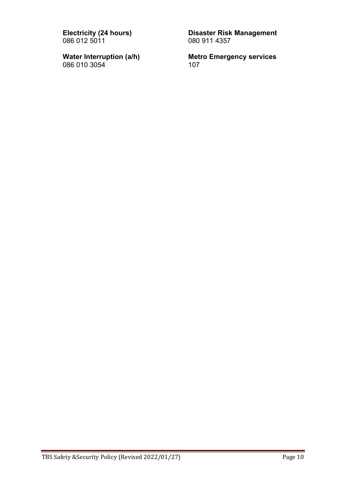086 012 5011

086 010 3054

**Electricity (24 hours)** Disaster Risk Management<br>086 012 5011 080 911 4357

**Water Interruption (a/h)** Metro Emergency services<br>086 010 3054 107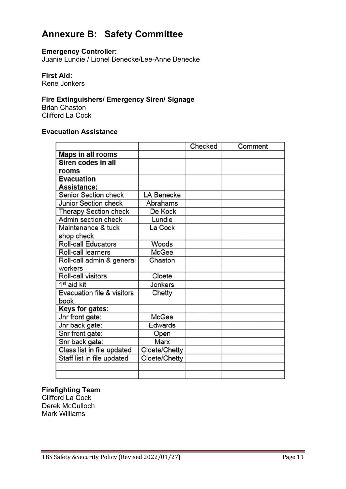# **Annexure B: Safety Committee**

#### **Emergency Controller:**

Juanie Lundie / Lionel Benecke/Lee-Anne Benecke

#### **First Aid:**

Rene Jonkers

# **Fire Extinguishers/ Emergency Siren/ Signage**

Brian Chaston Clifford La Cock

#### **Evacuation Assistance**

|                              |               | Checked | Comment |
|------------------------------|---------------|---------|---------|
| <b>Maps in all rooms</b>     |               |         |         |
| Siren codes in all           |               |         |         |
| rooms                        |               |         |         |
| <b>Evacuation</b>            |               |         |         |
| <b>Assistance:</b>           |               |         |         |
| Senior Section check         | LA Benecke    |         |         |
| <b>Junior Section check</b>  | Abrahams      |         |         |
| <b>Therapy Section check</b> | De Kock       |         |         |
| Admin section check          | Lundie        |         |         |
| Maintenance & tuck           | La Cock       |         |         |
| shop check                   |               |         |         |
| <b>Roll-call Educators</b>   | Woods         |         |         |
| Roll-call learners           | <b>McGee</b>  |         |         |
| Roll-call admin & general    | Chaston       |         |         |
| workers                      |               |         |         |
| Roll-call visitors           | Cloete        |         |         |
| 1 <sup>st</sup> aid kit      | Jonkers       |         |         |
| Evacuation file & visitors   | Chetty        |         |         |
| book                         |               |         |         |
| Keys for gates:              |               |         |         |
| Jnr front gate:              | McGee         |         |         |
| Jnr back gate:               | Edwards       |         |         |
| Snr front gate:              | Open          |         |         |
| Snr back gate:               | Marx          |         |         |
| Class list in file updated   | Cloete/Chetty |         |         |
| Staff list in file updated   | Cloete/Chetty |         |         |
|                              |               |         |         |
|                              |               |         |         |

#### **Firefighting Team**

Clifford La Cock Derek McCulloch Mark Williams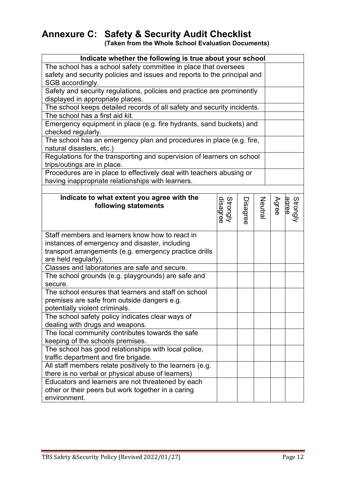# **Annexure C: Safety & Security Audit Checklist**

 **(Taken from the Whole School Evaluation Documents)** 

| Indicate whether the following is true about your school                 |                      |          |        |       |          |  |  |
|--------------------------------------------------------------------------|----------------------|----------|--------|-------|----------|--|--|
| The school has a school safety committee in place that oversees          |                      |          |        |       |          |  |  |
| safety and security policies and issues and reports to the principal and |                      |          |        |       |          |  |  |
| SGB accordingly.                                                         |                      |          |        |       |          |  |  |
| Safety and security regulations, policies and practice are prominently   |                      |          |        |       |          |  |  |
| displayed in appropriate places.                                         |                      |          |        |       |          |  |  |
| The school keeps detailed records of all safety and security incidents.  |                      |          |        |       |          |  |  |
| The school has a first aid kit.                                          |                      |          |        |       |          |  |  |
| Emergency equipment in place (e.g. fire hydrants, sand buckets) and      |                      |          |        |       |          |  |  |
| checked regularly.                                                       |                      |          |        |       |          |  |  |
| The school has an emergency plan and procedures in place (e.g. fire,     |                      |          |        |       |          |  |  |
| natural disasters, etc.)                                                 |                      |          |        |       |          |  |  |
| Regulations for the transporting and supervision of learners on school   |                      |          |        |       |          |  |  |
| trips/outings are in place.                                              |                      |          |        |       |          |  |  |
| Procedures are in place to effectively deal with teachers abusing or     |                      |          |        |       |          |  |  |
| having inappropriate relationships with learners.                        |                      |          |        |       |          |  |  |
|                                                                          |                      |          |        |       |          |  |  |
| Indicate to what extent you agree with the                               |                      |          |        |       |          |  |  |
| following statements                                                     |                      |          | Neutra | Agree |          |  |  |
|                                                                          | Strongly<br>disagree | Disagree |        |       | Strongly |  |  |
|                                                                          |                      |          |        |       |          |  |  |
| Staff members and learners know how to react in                          |                      |          |        |       |          |  |  |
| instances of emergency and disaster, including                           |                      |          |        |       |          |  |  |
| transport arrangements (e.g. emergency practice drills                   |                      |          |        |       |          |  |  |
| are held regularly).                                                     |                      |          |        |       |          |  |  |
| Classes and laboratories are safe and secure.                            |                      |          |        |       |          |  |  |
| The school grounds (e.g. playgrounds) are safe and                       |                      |          |        |       |          |  |  |
| secure.                                                                  |                      |          |        |       |          |  |  |
| The school ensures that learners and staff on school                     |                      |          |        |       |          |  |  |
| premises are safe from outside dangers e.g.                              |                      |          |        |       |          |  |  |
| potentially violent criminals.                                           |                      |          |        |       |          |  |  |
| The school safety policy indicates clear ways of                         |                      |          |        |       |          |  |  |
| dealing with drugs and weapons.                                          |                      |          |        |       |          |  |  |
| The local community contributes towards the safe                         |                      |          |        |       |          |  |  |
| keeping of the schools premises.                                         |                      |          |        |       |          |  |  |
| The school has good relationships with local police,                     |                      |          |        |       |          |  |  |
| traffic department and fire brigade.                                     |                      |          |        |       |          |  |  |
| All staff members relate positively to the learners (e.g.                |                      |          |        |       |          |  |  |
| there is no verbal or physical abuse of learners)                        |                      |          |        |       |          |  |  |
| Educators and learners are not threatened by each                        |                      |          |        |       |          |  |  |
| other or their peers but work together in a caring                       |                      |          |        |       |          |  |  |
| environment.                                                             |                      |          |        |       |          |  |  |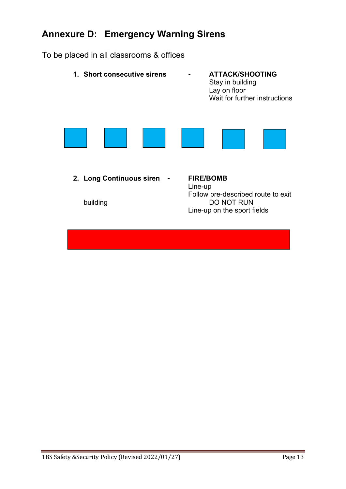# **Annexure D: Emergency Warning Sirens**

To be placed in all classrooms & offices

**1. Short consecutive sirens - ATTACK/SHOOTING**  Stay in building Lay on floor Wait for further instructions **2. Long Continuous siren - FIRE/BOMB** Line-up Follow pre-described route to exit<br>DO NOT RUN<br>DO NOT RUN DO NOT RUN Line-up on the sport fields